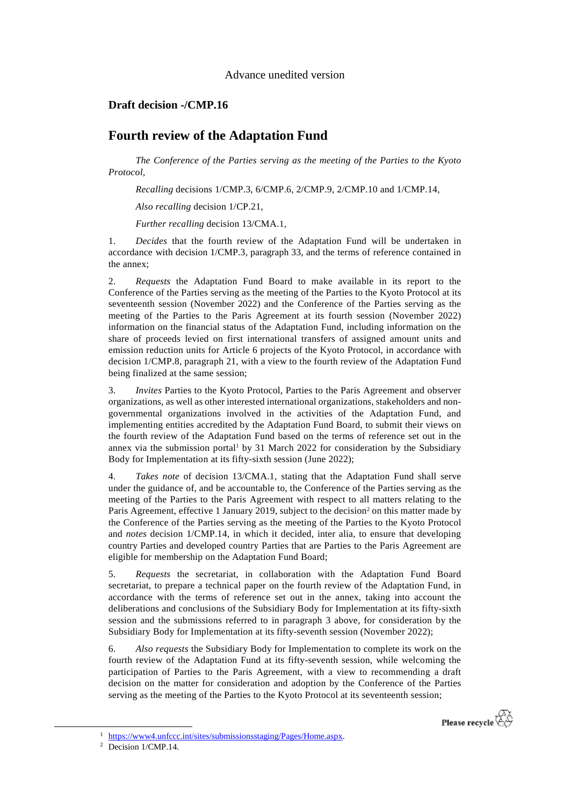Advance unedited version

## **Draft decision -/CMP.16**

# **Fourth review of the Adaptation Fund**

*The Conference of the Parties serving as the meeting of the Parties to the Kyoto Protocol*,

*Recalling* decisions 1/CMP.3, 6/CMP.6, 2/CMP.9, 2/CMP.10 and 1/CMP.14,

*Also recalling* decision 1/CP.21,

*Further recalling* decision 13/CMA.1,

1. *Decides* that the fourth review of the Adaptation Fund will be undertaken in accordance with decision 1/CMP.3, paragraph 33, and the terms of reference contained in the annex;

2. *Requests* the Adaptation Fund Board to make available in its report to the Conference of the Parties serving as the meeting of the Parties to the Kyoto Protocol at its seventeenth session (November 2022) and the Conference of the Parties serving as the meeting of the Parties to the Paris Agreement at its fourth session (November 2022) information on the financial status of the Adaptation Fund, including information on the share of proceeds levied on first international transfers of assigned amount units and emission reduction units for Article 6 projects of the Kyoto Protocol, in accordance with decision 1/CMP.8, paragraph 21, with a view to the fourth review of the Adaptation Fund being finalized at the same session;

3. *Invites* Parties to the Kyoto Protocol, Parties to the Paris Agreement and observer organizations, as well as other interested international organizations, stakeholders and nongovernmental organizations involved in the activities of the Adaptation Fund, and implementing entities accredited by the Adaptation Fund Board, to submit their views on the fourth review of the Adaptation Fund based on the terms of reference set out in the annex via the submission portal<sup>1</sup> by 31 March 2022 for consideration by the Subsidiary Body for Implementation at its fifty-sixth session (June 2022);

4. *Takes note* of decision 13/CMA.1, stating that the Adaptation Fund shall serve under the guidance of, and be accountable to, the Conference of the Parties serving as the meeting of the Parties to the Paris Agreement with respect to all matters relating to the Paris Agreement, effective 1 January 2019, subject to the decision<sup>2</sup> on this matter made by the Conference of the Parties serving as the meeting of the Parties to the Kyoto Protocol and *notes* decision 1/CMP.14, in which it decided, inter alia, to ensure that developing country Parties and developed country Parties that are Parties to the Paris Agreement are eligible for membership on the Adaptation Fund Board;

5. *Requests* the secretariat, in collaboration with the Adaptation Fund Board secretariat, to prepare a technical paper on the fourth review of the Adaptation Fund, in accordance with the terms of reference set out in the annex, taking into account the deliberations and conclusions of the Subsidiary Body for Implementation at its fifty-sixth session and the submissions referred to in paragraph 3 above, for consideration by the Subsidiary Body for Implementation at its fifty-seventh session (November 2022);

6. *Also requests* the Subsidiary Body for Implementation to complete its work on the fourth review of the Adaptation Fund at its fifty-seventh session, while welcoming the participation of Parties to the Paris Agreement, with a view to recommending a draft decision on the matter for consideration and adoption by the Conference of the Parties serving as the meeting of the Parties to the Kyoto Protocol at its seventeenth session;



<sup>&</sup>lt;sup>2</sup> Decision 1/CMP.14.

1

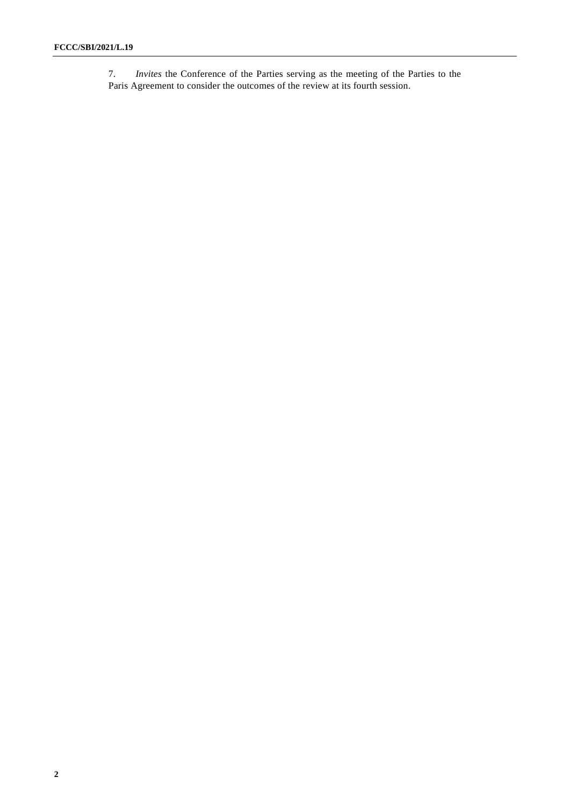7. *Invites* the Conference of the Parties serving as the meeting of the Parties to the Paris Agreement to consider the outcomes of the review at its fourth session.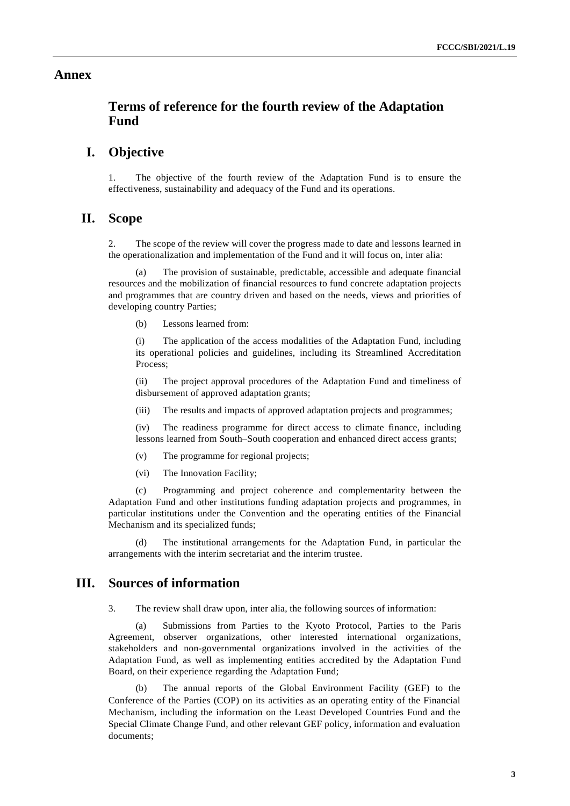#### **Annex**

# **Terms of reference for the fourth review of the Adaptation Fund**

# **I. Objective**

1. The objective of the fourth review of the Adaptation Fund is to ensure the effectiveness, sustainability and adequacy of the Fund and its operations.

#### **II. Scope**

2. The scope of the review will cover the progress made to date and lessons learned in the operationalization and implementation of the Fund and it will focus on, inter alia:

The provision of sustainable, predictable, accessible and adequate financial resources and the mobilization of financial resources to fund concrete adaptation projects and programmes that are country driven and based on the needs, views and priorities of developing country Parties;

(b) Lessons learned from:

(i) The application of the access modalities of the Adaptation Fund, including its operational policies and guidelines, including its Streamlined Accreditation Process;

(ii) The project approval procedures of the Adaptation Fund and timeliness of disbursement of approved adaptation grants;

(iii) The results and impacts of approved adaptation projects and programmes;

(iv) The readiness programme for direct access to climate finance, including lessons learned from South–South cooperation and enhanced direct access grants;

- (v) The programme for regional projects;
- (vi) The Innovation Facility;

(c) Programming and project coherence and complementarity between the Adaptation Fund and other institutions funding adaptation projects and programmes, in particular institutions under the Convention and the operating entities of the Financial Mechanism and its specialized funds;

The institutional arrangements for the Adaptation Fund, in particular the arrangements with the interim secretariat and the interim trustee.

### **III. Sources of information**

3. The review shall draw upon, inter alia, the following sources of information:

(a) Submissions from Parties to the Kyoto Protocol, Parties to the Paris Agreement, observer organizations, other interested international organizations, stakeholders and non-governmental organizations involved in the activities of the Adaptation Fund, as well as implementing entities accredited by the Adaptation Fund Board, on their experience regarding the Adaptation Fund;

(b) The annual reports of the Global Environment Facility (GEF) to the Conference of the Parties (COP) on its activities as an operating entity of the Financial Mechanism, including the information on the Least Developed Countries Fund and the Special Climate Change Fund, and other relevant GEF policy, information and evaluation documents;